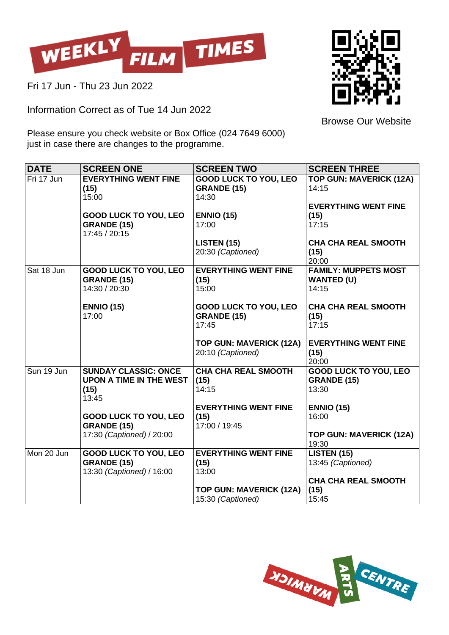

Fri 17 Jun - Thu 23 Jun 2022

Information Correct as of Tue 14 Jun 2022



Browse Our Website

Please ensure you check website or Box Office (024 7649 6000) just in case there are changes to the programme.

| <b>DATE</b> | <b>SCREEN ONE</b>                                                               | <b>SCREEN TWO</b>                                           | <b>SCREEN THREE</b>                                         |
|-------------|---------------------------------------------------------------------------------|-------------------------------------------------------------|-------------------------------------------------------------|
| Fri 17 Jun  | <b>EVERYTHING WENT FINE</b><br>(15)<br>15:00                                    | <b>GOOD LUCK TO YOU, LEO</b><br><b>GRANDE (15)</b><br>14:30 | <b>TOP GUN: MAVERICK (12A)</b><br>14:15                     |
|             | <b>GOOD LUCK TO YOU, LEO</b><br><b>GRANDE (15)</b><br>17:45 / 20:15             | <b>ENNIO (15)</b><br>17:00                                  | <b>EVERYTHING WENT FINE</b><br>(15)<br>17:15                |
|             |                                                                                 | <b>LISTEN (15)</b><br>20:30 (Captioned)                     | <b>CHA CHA REAL SMOOTH</b><br>(15)<br>20:00                 |
| Sat 18 Jun  | <b>GOOD LUCK TO YOU, LEO</b><br><b>GRANDE (15)</b><br>14:30 / 20:30             | <b>EVERYTHING WENT FINE</b><br>(15)<br>15:00                | <b>FAMILY: MUPPETS MOST</b><br><b>WANTED (U)</b><br>14:15   |
|             | <b>ENNIO (15)</b><br>17:00                                                      | <b>GOOD LUCK TO YOU, LEO</b><br><b>GRANDE (15)</b><br>17:45 | <b>CHA CHA REAL SMOOTH</b><br>(15)<br>17:15                 |
|             |                                                                                 | <b>TOP GUN: MAVERICK (12A)</b><br>20:10 (Captioned)         | <b>EVERYTHING WENT FINE</b><br>(15)<br>20:00                |
| Sun 19 Jun  | <b>SUNDAY CLASSIC: ONCE</b><br><b>UPON A TIME IN THE WEST</b><br>(15)<br>13:45  | <b>CHA CHA REAL SMOOTH</b><br>(15)<br>14:15                 | <b>GOOD LUCK TO YOU, LEO</b><br><b>GRANDE (15)</b><br>13:30 |
|             | <b>GOOD LUCK TO YOU, LEO</b><br><b>GRANDE (15)</b>                              | <b>EVERYTHING WENT FINE</b><br>(15)<br>17:00 / 19:45        | <b>ENNIO (15)</b><br>16:00                                  |
|             | 17:30 (Captioned) / 20:00                                                       |                                                             | <b>TOP GUN: MAVERICK (12A)</b><br>19:30                     |
| Mon 20 Jun  | <b>GOOD LUCK TO YOU, LEO</b><br><b>GRANDE (15)</b><br>13:30 (Captioned) / 16:00 | <b>EVERYTHING WENT FINE</b><br>(15)<br>13:00                | <b>LISTEN (15)</b><br>13:45 (Captioned)                     |
|             |                                                                                 | <b>TOP GUN: MAVERICK (12A)</b><br>15:30 (Captioned)         | <b>CHA CHA REAL SMOOTH</b><br>(15)<br>15:45                 |